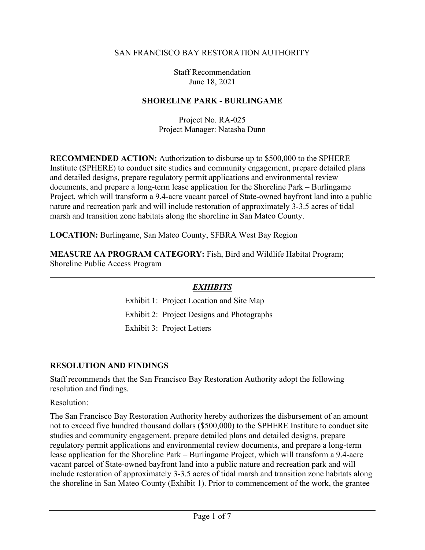#### SAN FRANCISCO BAY RESTORATION AUTHORITY

Staff Recommendation June 18, 2021

#### **SHORELINE PARK - BURLINGAME**

Project No. RA-025 Project Manager: Natasha Dunn

**RECOMMENDED ACTION:** Authorization to disburse up to \$500,000 to the SPHERE Institute (SPHERE) to conduct site studies and community engagement, prepare detailed plans and detailed designs, prepare regulatory permit applications and environmental review documents, and prepare a long-term lease application for the Shoreline Park – Burlingame Project, which will transform a 9.4-acre vacant parcel of State-owned bayfront land into a public nature and recreation park and will include restoration of approximately 3-3.5 acres of tidal marsh and transition zone habitats along the shoreline in San Mateo County.

**LOCATION:** Burlingame, San Mateo County, SFBRA West Bay Region

**MEASURE AA PROGRAM CATEGORY:** Fish, Bird and Wildlife Habitat Program; Shoreline Public Access Program

#### *EXHIBITS*

Exhibit 1: Project Location and Site Map Exhibit 2: Project Designs and Photographs Exhibit 3: Project Letters

#### **RESOLUTION AND FINDINGS**

Staff recommends that the San Francisco Bay Restoration Authority adopt the following resolution and findings.

Resolution:

The San Francisco Bay Restoration Authority hereby authorizes the disbursement of an amount not to exceed five hundred thousand dollars (\$500,000) to the SPHERE Institute to conduct site studies and community engagement, prepare detailed plans and detailed designs, prepare regulatory permit applications and environmental review documents, and prepare a long-term lease application for the Shoreline Park – Burlingame Project, which will transform a 9.4-acre vacant parcel of State-owned bayfront land into a public nature and recreation park and will include restoration of approximately 3-3.5 acres of tidal marsh and transition zone habitats along the shoreline in San Mateo County (Exhibit 1). Prior to commencement of the work, the grantee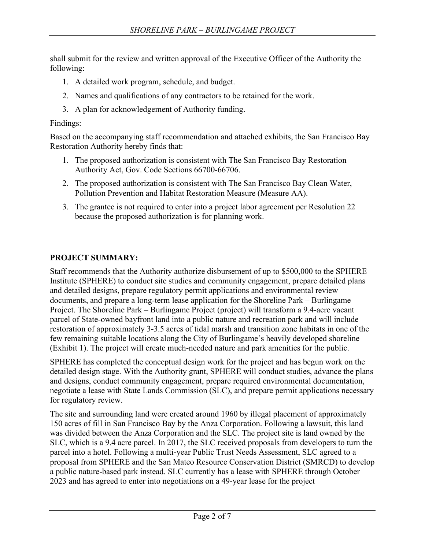shall submit for the review and written approval of the Executive Officer of the Authority the following:

- 1. A detailed work program, schedule, and budget.
- 2. Names and qualifications of any contractors to be retained for the work.
- 3. A plan for acknowledgement of Authority funding.

Findings:

Based on the accompanying staff recommendation and attached exhibits, the San Francisco Bay Restoration Authority hereby finds that:

- 1. The proposed authorization is consistent with The San Francisco Bay Restoration Authority Act, Gov. Code Sections 66700-66706.
- 2. The proposed authorization is consistent with The San Francisco Bay Clean Water, Pollution Prevention and Habitat Restoration Measure (Measure AA).
- 3. The grantee is not required to enter into a project labor agreement per Resolution 22 because the proposed authorization is for planning work.

## **PROJECT SUMMARY:**

Staff recommends that the Authority authorize disbursement of up to \$500,000 to the SPHERE Institute (SPHERE) to conduct site studies and community engagement, prepare detailed plans and detailed designs, prepare regulatory permit applications and environmental review documents, and prepare a long-term lease application for the Shoreline Park – Burlingame Project. The Shoreline Park – Burlingame Project (project) will transform a 9.4-acre vacant parcel of State-owned bayfront land into a public nature and recreation park and will include restoration of approximately 3-3.5 acres of tidal marsh and transition zone habitats in one of the few remaining suitable locations along the City of Burlingame's heavily developed shoreline (Exhibit 1). The project will create much-needed nature and park amenities for the public.

SPHERE has completed the conceptual design work for the project and has begun work on the detailed design stage. With the Authority grant, SPHERE will conduct studies, advance the plans and designs, conduct community engagement, prepare required environmental documentation, negotiate a lease with State Lands Commission (SLC), and prepare permit applications necessary for regulatory review.

The site and surrounding land were created around 1960 by illegal placement of approximately 150 acres of fill in San Francisco Bay by the Anza Corporation. Following a lawsuit, this land was divided between the Anza Corporation and the SLC. The project site is land owned by the SLC, which is a 9.4 acre parcel. In 2017, the SLC received proposals from developers to turn the parcel into a hotel. Following a multi-year Public Trust Needs Assessment, SLC agreed to a proposal from SPHERE and the San Mateo Resource Conservation District (SMRCD) to develop a public nature-based park instead. SLC currently has a lease with SPHERE through October 2023 and has agreed to enter into negotiations on a 49-year lease for the project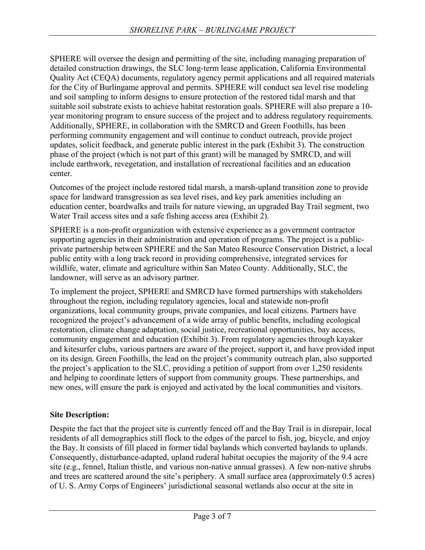SPHERE will oversee the design and permitting of the site, including managing preparation of detailed construction drawings, the SLC long-term lease application, California Environmental Quality Act (CEQA) documents, regulatory agency permit applications and all required materials for the City of Burlingame approval and permits. SPHERE will conduct sea level rise modeling and soil sampling to inform designs to ensure protection of the restored tidal marsh and that suitable soil substrate exists to achieve habitat restoration goals. SPHERE will also prepare a 10 year monitoring program to ensure success of the project and to address regulatory requirements. Additionally, SPHERE, in collaboration with the SMRCD and Green Foothills, has been performing community engagement and will continue to conduct outreach, provide project updates, solicit feedback, and generate public interest in the park (Exhibit 3). The construction phase of the project (which is not part of this grant) will be managed by SMRCD, and will include earthwork, revegetation, and installation of recreational facilities and an education center.

Outcomes of the project include restored tidal marsh, a marsh-upland transition zone to provide space for landward transgression as sea level rises, and key park amenities including an education center, boardwalks and trails for nature viewing, an upgraded Bay Trail segment, two Water Trail access sites and a safe fishing access area (Exhibit 2).

SPHERE is a non-profit organization with extensive experience as a government contractor supporting agencies in their administration and operation of programs. The project is a publicprivate partnership between SPHERE and the San Mateo Resource Conservation District, a local public entity with a long track record in providing comprehensive, integrated services for wildlife, water, climate and agriculture within San Mateo County. Additionally, SLC, the landowner, will serve as an advisory partner.

To implement the project, SPHERE and SMRCD have formed partnerships with stakeholders throughout the region, including regulatory agencies, local and statewide non-profit organizations, local community groups, private companies, and local citizens. Partners have recognized the project's advancement of a wide array of public benefits, including ecological restoration, climate change adaptation, social justice, recreational opportunities, bay access, community engagement and education (Exhibit 3). From regulatory agencies through kayaker and kitesurfer clubs, various partners are aware of the project, support it, and have provided input on its design. Green Foothills, the lead on the project's community outreach plan, also supported the project's application to the SLC, providing a petition of support from over 1,250 residents and helping to coordinate letters of support from community groups. These partnerships, and new ones, will ensure the park is enjoyed and activated by the local communities and visitors.

## **Site Description:**

Despite the fact that the project site is currently fenced off and the Bay Trail is in disrepair, local residents of all demographics still flock to the edges of the parcel to fish, jog, bicycle, and enjoy the Bay. It consists of fill placed in former tidal baylands which converted baylands to uplands. Consequently, disturbance-adapted, upland ruderal habitat occupies the majority of the 9.4 acre site (e.g., fennel, Italian thistle, and various non-native annual grasses). A few non-native shrubs and trees are scattered around the site's periphery. A small surface area (approximately 0.5 acres) of U. S. Army Corps of Engineers' jurisdictional seasonal wetlands also occur at the site in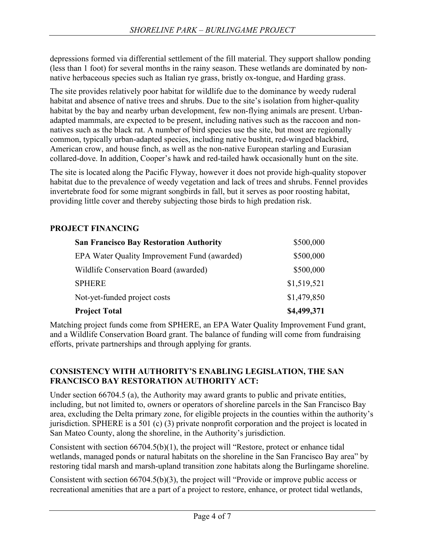depressions formed via differential settlement of the fill material. They support shallow ponding (less than 1 foot) for several months in the rainy season. These wetlands are dominated by nonnative herbaceous species such as Italian rye grass, bristly ox-tongue, and Harding grass.

The site provides relatively poor habitat for wildlife due to the dominance by weedy ruderal habitat and absence of native trees and shrubs. Due to the site's isolation from higher-quality habitat by the bay and nearby urban development, few non-flying animals are present. Urbanadapted mammals, are expected to be present, including natives such as the raccoon and nonnatives such as the black rat. A number of bird species use the site, but most are regionally common, typically urban-adapted species, including native bushtit, red-winged blackbird, American crow, and house finch, as well as the non-native European starling and Eurasian collared-dove. In addition, Cooper's hawk and red-tailed hawk occasionally hunt on the site.

The site is located along the Pacific Flyway, however it does not provide high-quality stopover habitat due to the prevalence of weedy vegetation and lack of trees and shrubs. Fennel provides invertebrate food for some migrant songbirds in fall, but it serves as poor roosting habitat, providing little cover and thereby subjecting those birds to high predation risk.

#### **PROJECT FINANCING**

| <b>San Francisco Bay Restoration Authority</b> | \$500,000   |
|------------------------------------------------|-------------|
| EPA Water Quality Improvement Fund (awarded)   | \$500,000   |
| Wildlife Conservation Board (awarded)          | \$500,000   |
| <b>SPHERE</b>                                  | \$1,519,521 |
| Not-yet-funded project costs                   | \$1,479,850 |
| <b>Project Total</b>                           | \$4,499,371 |

Matching project funds come from SPHERE, an EPA Water Quality Improvement Fund grant, and a Wildlife Conservation Board grant. The balance of funding will come from fundraising efforts, private partnerships and through applying for grants.

#### **CONSISTENCY WITH AUTHORITY'S ENABLING LEGISLATION, THE SAN FRANCISCO BAY RESTORATION AUTHORITY ACT:**

Under section 66704.5 (a), the Authority may award grants to public and private entities, including, but not limited to, owners or operators of shoreline parcels in the San Francisco Bay area, excluding the Delta primary zone, for eligible projects in the counties within the authority's jurisdiction. SPHERE is a 501 (c) (3) private nonprofit corporation and the project is located in San Mateo County, along the shoreline, in the Authority's jurisdiction.

Consistent with section 66704.5(b)(1), the project will "Restore, protect or enhance tidal wetlands, managed ponds or natural habitats on the shoreline in the San Francisco Bay area" by restoring tidal marsh and marsh-upland transition zone habitats along the Burlingame shoreline.

Consistent with section 66704.5(b)(3), the project will "Provide or improve public access or recreational amenities that are a part of a project to restore, enhance, or protect tidal wetlands,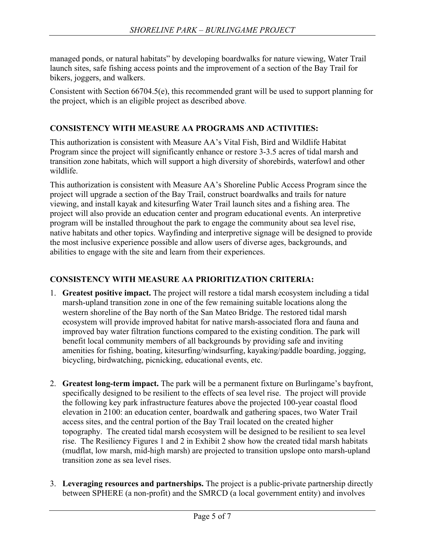managed ponds, or natural habitats" by developing boardwalks for nature viewing, Water Trail launch sites, safe fishing access points and the improvement of a section of the Bay Trail for bikers, joggers, and walkers.

Consistent with Section 66704.5(e), this recommended grant will be used to support planning for the project, which is an eligible project as described above.

## **CONSISTENCY WITH MEASURE AA PROGRAMS AND ACTIVITIES:**

This authorization is consistent with Measure AA's Vital Fish, Bird and Wildlife Habitat Program since the project will significantly enhance or restore 3-3.5 acres of tidal marsh and transition zone habitats, which will support a high diversity of shorebirds, waterfowl and other wildlife.

This authorization is consistent with Measure AA's Shoreline Public Access Program since the project will upgrade a section of the Bay Trail, construct boardwalks and trails for nature viewing, and install kayak and kitesurfing Water Trail launch sites and a fishing area. The project will also provide an education center and program educational events. An interpretive program will be installed throughout the park to engage the community about sea level rise, native habitats and other topics. Wayfinding and interpretive signage will be designed to provide the most inclusive experience possible and allow users of diverse ages, backgrounds, and abilities to engage with the site and learn from their experiences.

### **CONSISTENCY WITH MEASURE AA PRIORITIZATION CRITERIA:**

- 1. **Greatest positive impact.** The project will restore a tidal marsh ecosystem including a tidal marsh-upland transition zone in one of the few remaining suitable locations along the western shoreline of the Bay north of the San Mateo Bridge. The restored tidal marsh ecosystem will provide improved habitat for native marsh-associated flora and fauna and improved bay water filtration functions compared to the existing condition. The park will benefit local community members of all backgrounds by providing safe and inviting amenities for fishing, boating, kitesurfing/windsurfing, kayaking/paddle boarding, jogging, bicycling, birdwatching, picnicking, educational events, etc.
- 2. **Greatest long-term impact.** The park will be a permanent fixture on Burlingame's bayfront, specifically designed to be resilient to the effects of sea level rise. The project will provide the following key park infrastructure features above the projected 100-year coastal flood elevation in 2100: an education center, boardwalk and gathering spaces, two Water Trail access sites, and the central portion of the Bay Trail located on the created higher topography. The created tidal marsh ecosystem will be designed to be resilient to sea level rise. The Resiliency Figures 1 and 2 in Exhibit 2 show how the created tidal marsh habitats (mudflat, low marsh, mid-high marsh) are projected to transition upslope onto marsh-upland transition zone as sea level rises.
- 3. **Leveraging resources and partnerships.** The project is a public-private partnership directly between SPHERE (a non-profit) and the SMRCD (a local government entity) and involves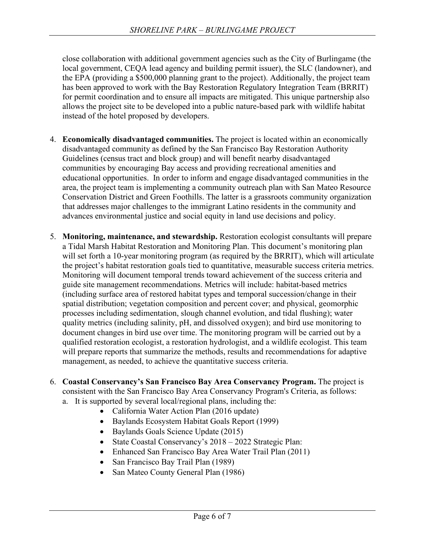close collaboration with additional government agencies such as the City of Burlingame (the local government, CEQA lead agency and building permit issuer), the SLC (landowner), and the EPA (providing a \$500,000 planning grant to the project). Additionally, the project team has been approved to work with the Bay Restoration Regulatory Integration Team (BRRIT) for permit coordination and to ensure all impacts are mitigated. This unique partnership also allows the project site to be developed into a public nature-based park with wildlife habitat instead of the hotel proposed by developers.

- 4. **Economically disadvantaged communities.** The project is located within an economically disadvantaged community as defined by the San Francisco Bay Restoration Authority Guidelines (census tract and block group) and will benefit nearby disadvantaged communities by encouraging Bay access and providing recreational amenities and educational opportunities. In order to inform and engage disadvantaged communities in the area, the project team is implementing a community outreach plan with San Mateo Resource Conservation District and Green Foothills. The latter is a grassroots community organization that addresses major challenges to the immigrant Latino residents in the community and advances environmental justice and social equity in land use decisions and policy.
- 5. **Monitoring, maintenance, and stewardship.** Restoration ecologist consultants will prepare a Tidal Marsh Habitat Restoration and Monitoring Plan. This document's monitoring plan will set forth a 10-year monitoring program (as required by the BRRIT), which will articulate the project's habitat restoration goals tied to quantitative, measurable success criteria metrics. Monitoring will document temporal trends toward achievement of the success criteria and guide site management recommendations. Metrics will include: habitat-based metrics (including surface area of restored habitat types and temporal succession/change in their spatial distribution; vegetation composition and percent cover; and physical, geomorphic processes including sedimentation, slough channel evolution, and tidal flushing); water quality metrics (including salinity, pH, and dissolved oxygen); and bird use monitoring to document changes in bird use over time. The monitoring program will be carried out by a qualified restoration ecologist, a restoration hydrologist, and a wildlife ecologist. This team will prepare reports that summarize the methods, results and recommendations for adaptive management, as needed, to achieve the quantitative success criteria.
- 6. **Coastal Conservancy's San Francisco Bay Area Conservancy Program.** The project is consistent with the San Francisco Bay Area Conservancy Program's Criteria, as follows: a. It is supported by several local/regional plans, including the:
	- California Water Action Plan (2016 update)
	- Baylands Ecosystem Habitat Goals Report (1999)
	- Baylands Goals Science Update (2015)
	- State Coastal Conservancy's 2018 2022 Strategic Plan:
	- Enhanced San Francisco Bay Area Water Trail Plan (2011)
	- San Francisco Bay Trail Plan (1989)
	- San Mateo County General Plan (1986)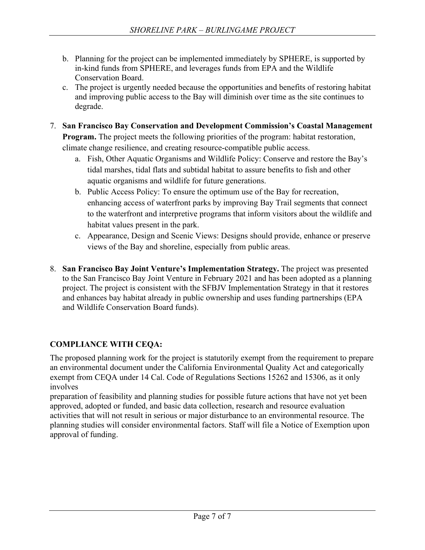- b. Planning for the project can be implemented immediately by SPHERE, is supported by in-kind funds from SPHERE, and leverages funds from EPA and the Wildlife Conservation Board.
- c. The project is urgently needed because the opportunities and benefits of restoring habitat and improving public access to the Bay will diminish over time as the site continues to degrade.
- 7. **San Francisco Bay Conservation and Development Commission's Coastal Management Program.** The project meets the following priorities of the program: habitat restoration, climate change resilience, and creating resource-compatible public access.
	- a. Fish, Other Aquatic Organisms and Wildlife Policy: Conserve and restore the Bay's tidal marshes, tidal flats and subtidal habitat to assure benefits to fish and other aquatic organisms and wildlife for future generations.
	- b. Public Access Policy: To ensure the optimum use of the Bay for recreation, enhancing access of waterfront parks by improving Bay Trail segments that connect to the waterfront and interpretive programs that inform visitors about the wildlife and habitat values present in the park.
	- c. Appearance, Design and Scenic Views: Designs should provide, enhance or preserve views of the Bay and shoreline, especially from public areas.
- 8. **San Francisco Bay Joint Venture's Implementation Strategy.** The project was presented to the San Francisco Bay Joint Venture in February 2021 and has been adopted as a planning project. The project is consistent with the SFBJV Implementation Strategy in that it restores and enhances bay habitat already in public ownership and uses funding partnerships (EPA and Wildlife Conservation Board funds).

# **COMPLIANCE WITH CEQA:**

The proposed planning work for the project is statutorily exempt from the requirement to prepare an environmental document under the California Environmental Quality Act and categorically exempt from CEQA under 14 Cal. Code of Regulations Sections 15262 and 15306, as it only involves

preparation of feasibility and planning studies for possible future actions that have not yet been approved, adopted or funded, and basic data collection, research and resource evaluation activities that will not result in serious or major disturbance to an environmental resource. The planning studies will consider environmental factors. Staff will file a Notice of Exemption upon approval of funding.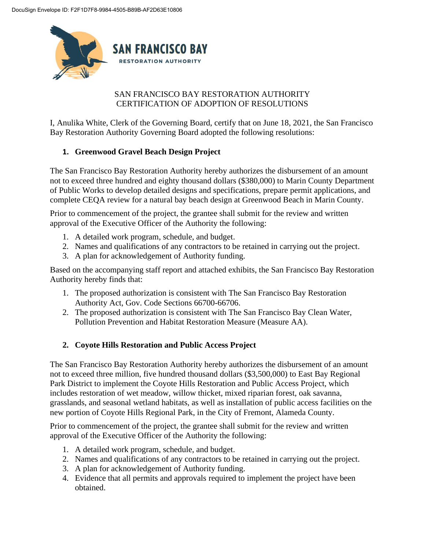

### SAN FRANCISCO BAY RESTORATION AUTHORITY CERTIFICATION OF ADOPTION OF RESOLUTIONS

I, Anulika White, Clerk of the Governing Board, certify that on June 18, 2021, the San Francisco Bay Restoration Authority Governing Board adopted the following resolutions:

## **1. Greenwood Gravel Beach Design Project**

The San Francisco Bay Restoration Authority hereby authorizes the disbursement of an amount not to exceed three hundred and eighty thousand dollars (\$380,000) to Marin County Department of Public Works to develop detailed designs and specifications, prepare permit applications, and complete CEQA review for a natural bay beach design at Greenwood Beach in Marin County.

Prior to commencement of the project, the grantee shall submit for the review and written approval of the Executive Officer of the Authority the following:

- 1. A detailed work program, schedule, and budget.
- 2. Names and qualifications of any contractors to be retained in carrying out the project.
- 3. A plan for acknowledgement of Authority funding.

Based on the accompanying staff report and attached exhibits, the San Francisco Bay Restoration Authority hereby finds that:

- 1. The proposed authorization is consistent with The San Francisco Bay Restoration Authority Act, Gov. Code Sections 66700-66706.
- 2. The proposed authorization is consistent with The San Francisco Bay Clean Water, Pollution Prevention and Habitat Restoration Measure (Measure AA).

## **2. Coyote Hills Restoration and Public Access Project**

The San Francisco Bay Restoration Authority hereby authorizes the disbursement of an amount not to exceed three million, five hundred thousand dollars (\$3,500,000) to East Bay Regional Park District to implement the Coyote Hills Restoration and Public Access Project, which includes restoration of wet meadow, willow thicket, mixed riparian forest, oak savanna, grasslands, and seasonal wetland habitats, as well as installation of public access facilities on the new portion of Coyote Hills Regional Park, in the City of Fremont, Alameda County.

Prior to commencement of the project, the grantee shall submit for the review and written approval of the Executive Officer of the Authority the following:

- 1. A detailed work program, schedule, and budget.
- 2. Names and qualifications of any contractors to be retained in carrying out the project.
- 3. A plan for acknowledgement of Authority funding.
- 4. Evidence that all permits and approvals required to implement the project have been obtained.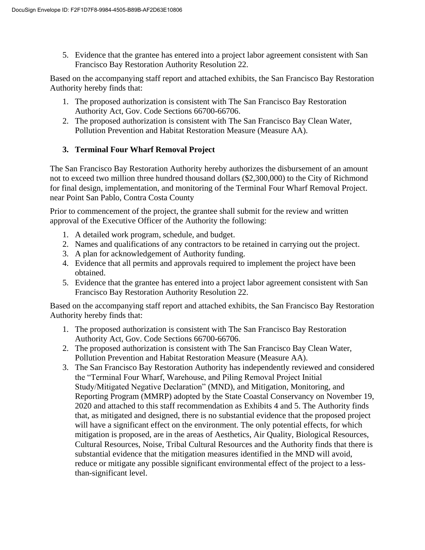5. Evidence that the grantee has entered into a project labor agreement consistent with San Francisco Bay Restoration Authority Resolution 22.

Based on the accompanying staff report and attached exhibits, the San Francisco Bay Restoration Authority hereby finds that:

- 1. The proposed authorization is consistent with The San Francisco Bay Restoration Authority Act, Gov. Code Sections 66700-66706.
- 2. The proposed authorization is consistent with The San Francisco Bay Clean Water, Pollution Prevention and Habitat Restoration Measure (Measure AA).

#### **3. Terminal Four Wharf Removal Project**

The San Francisco Bay Restoration Authority hereby authorizes the disbursement of an amount not to exceed two million three hundred thousand dollars (\$2,300,000) to the City of Richmond for final design, implementation, and monitoring of the Terminal Four Wharf Removal Project. near Point San Pablo, Contra Costa County

Prior to commencement of the project, the grantee shall submit for the review and written approval of the Executive Officer of the Authority the following:

- 1. A detailed work program, schedule, and budget.
- 2. Names and qualifications of any contractors to be retained in carrying out the project.
- 3. A plan for acknowledgement of Authority funding.
- 4. Evidence that all permits and approvals required to implement the project have been obtained.
- 5. Evidence that the grantee has entered into a project labor agreement consistent with San Francisco Bay Restoration Authority Resolution 22.

Based on the accompanying staff report and attached exhibits, the San Francisco Bay Restoration Authority hereby finds that:

- 1. The proposed authorization is consistent with The San Francisco Bay Restoration Authority Act, Gov. Code Sections 66700-66706.
- 2. The proposed authorization is consistent with The San Francisco Bay Clean Water, Pollution Prevention and Habitat Restoration Measure (Measure AA).
- 3. The San Francisco Bay Restoration Authority has independently reviewed and considered the "Terminal Four Wharf, Warehouse, and Piling Removal Project Initial Study/Mitigated Negative Declaration" (MND), and Mitigation, Monitoring, and Reporting Program (MMRP) adopted by the State Coastal Conservancy on November 19, 2020 and attached to this staff recommendation as Exhibits 4 and 5. The Authority finds that, as mitigated and designed, there is no substantial evidence that the proposed project will have a significant effect on the environment. The only potential effects, for which mitigation is proposed, are in the areas of Aesthetics, Air Quality, Biological Resources, Cultural Resources, Noise, Tribal Cultural Resources and the Authority finds that there is substantial evidence that the mitigation measures identified in the MND will avoid, reduce or mitigate any possible significant environmental effect of the project to a lessthan-significant level.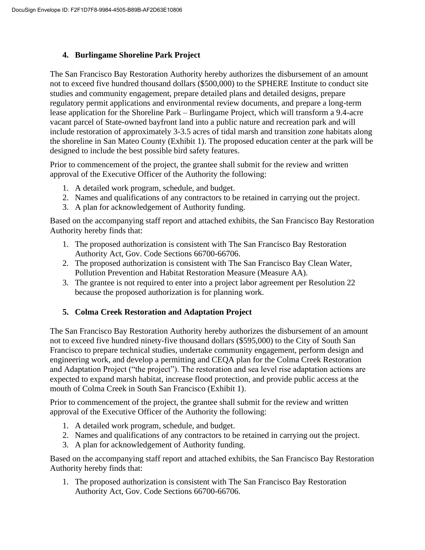#### **4. Burlingame Shoreline Park Project**

The San Francisco Bay Restoration Authority hereby authorizes the disbursement of an amount not to exceed five hundred thousand dollars (\$500,000) to the SPHERE Institute to conduct site studies and community engagement, prepare detailed plans and detailed designs, prepare regulatory permit applications and environmental review documents, and prepare a long-term lease application for the Shoreline Park – Burlingame Project, which will transform a 9.4-acre vacant parcel of State-owned bayfront land into a public nature and recreation park and will include restoration of approximately 3-3.5 acres of tidal marsh and transition zone habitats along the shoreline in San Mateo County (Exhibit 1). The proposed education center at the park will be designed to include the best possible bird safety features.

Prior to commencement of the project, the grantee shall submit for the review and written approval of the Executive Officer of the Authority the following:

- 1. A detailed work program, schedule, and budget.
- 2. Names and qualifications of any contractors to be retained in carrying out the project.
- 3. A plan for acknowledgement of Authority funding.

Based on the accompanying staff report and attached exhibits, the San Francisco Bay Restoration Authority hereby finds that:

- 1. The proposed authorization is consistent with The San Francisco Bay Restoration Authority Act, Gov. Code Sections 66700-66706.
- 2. The proposed authorization is consistent with The San Francisco Bay Clean Water, Pollution Prevention and Habitat Restoration Measure (Measure AA).
- 3. The grantee is not required to enter into a project labor agreement per Resolution 22 because the proposed authorization is for planning work.

## **5. Colma Creek Restoration and Adaptation Project**

The San Francisco Bay Restoration Authority hereby authorizes the disbursement of an amount not to exceed five hundred ninety-five thousand dollars (\$595,000) to the City of South San Francisco to prepare technical studies, undertake community engagement, perform design and engineering work, and develop a permitting and CEQA plan for the Colma Creek Restoration and Adaptation Project ("the project"). The restoration and sea level rise adaptation actions are expected to expand marsh habitat, increase flood protection, and provide public access at the mouth of Colma Creek in South San Francisco (Exhibit 1).

Prior to commencement of the project, the grantee shall submit for the review and written approval of the Executive Officer of the Authority the following:

- 1. A detailed work program, schedule, and budget.
- 2. Names and qualifications of any contractors to be retained in carrying out the project.
- 3. A plan for acknowledgement of Authority funding.

Based on the accompanying staff report and attached exhibits, the San Francisco Bay Restoration Authority hereby finds that:

1. The proposed authorization is consistent with The San Francisco Bay Restoration Authority Act, Gov. Code Sections 66700-66706.